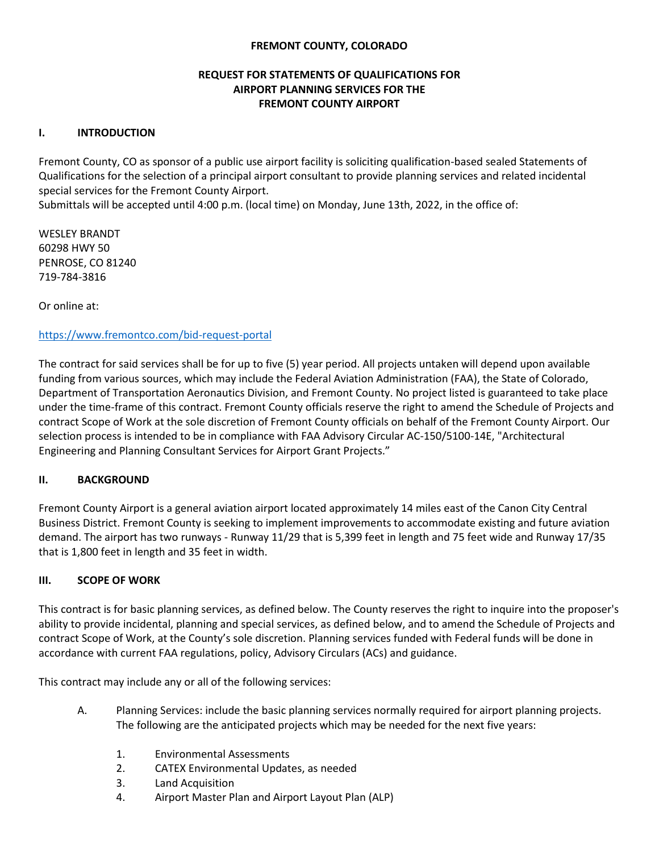### **FREMONT COUNTY, COLORADO**

### **REQUEST FOR STATEMENTS OF QUALIFICATIONS FOR AIRPORT PLANNING SERVICES FOR THE FREMONT COUNTY AIRPORT**

#### **I. INTRODUCTION**

Fremont County, CO as sponsor of a public use airport facility is soliciting qualification-based sealed Statements of Qualifications for the selection of a principal airport consultant to provide planning services and related incidental special services for the Fremont County Airport.

Submittals will be accepted until 4:00 p.m. (local time) on Monday, June 13th, 2022, in the office of:

WESLEY BRANDT 60298 HWY 50 PENROSE, CO 81240 719-784-3816

Or online at:

### <https://www.fremontco.com/bid-request-portal>

The contract for said services shall be for up to five (5) year period. All projects untaken will depend upon available funding from various sources, which may include the Federal Aviation Administration (FAA), the State of Colorado, Department of Transportation Aeronautics Division, and Fremont County. No project listed is guaranteed to take place under the time-frame of this contract. Fremont County officials reserve the right to amend the Schedule of Projects and contract Scope of Work at the sole discretion of Fremont County officials on behalf of the Fremont County Airport. Our selection process is intended to be in compliance with FAA Advisory Circular AC-150/5100-14E, "Architectural Engineering and Planning Consultant Services for Airport Grant Projects."

#### **II. BACKGROUND**

Fremont County Airport is a general aviation airport located approximately 14 miles east of the Canon City Central Business District. Fremont County is seeking to implement improvements to accommodate existing and future aviation demand. The airport has two runways - Runway 11/29 that is 5,399 feet in length and 75 feet wide and Runway 17/35 that is 1,800 feet in length and 35 feet in width.

#### **III. SCOPE OF WORK**

This contract is for basic planning services, as defined below. The County reserves the right to inquire into the proposer's ability to provide incidental, planning and special services, as defined below, and to amend the Schedule of Projects and contract Scope of Work, at the County's sole discretion. Planning services funded with Federal funds will be done in accordance with current FAA regulations, policy, Advisory Circulars (ACs) and guidance.

This contract may include any or all of the following services:

- A. Planning Services: include the basic planning services normally required for airport planning projects. The following are the anticipated projects which may be needed for the next five years:
	- 1. Environmental Assessments
	- 2. CATEX Environmental Updates, as needed
	- 3. Land Acquisition
	- 4. Airport Master Plan and Airport Layout Plan (ALP)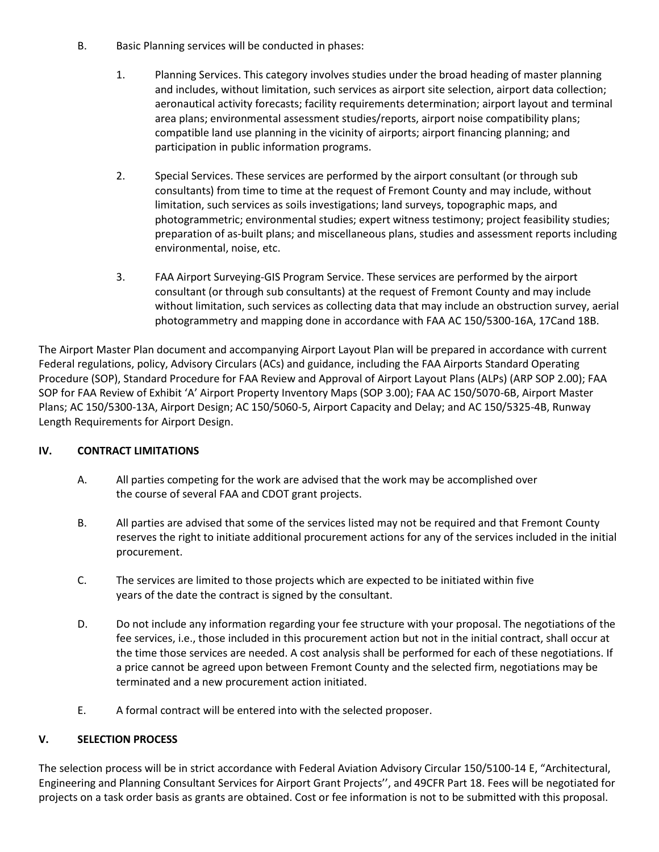- B. Basic Planning services will be conducted in phases:
	- 1. Planning Services. This category involves studies under the broad heading of master planning and includes, without limitation, such services as airport site selection, airport data collection; aeronautical activity forecasts; facility requirements determination; airport layout and terminal area plans; environmental assessment studies/reports, airport noise compatibility plans; compatible land use planning in the vicinity of airports; airport financing planning; and participation in public information programs.
	- 2. Special Services. These services are performed by the airport consultant (or through sub consultants) from time to time at the request of Fremont County and may include, without limitation, such services as soils investigations; land surveys, topographic maps, and photogrammetric; environmental studies; expert witness testimony; project feasibility studies; preparation of as-built plans; and miscellaneous plans, studies and assessment reports including environmental, noise, etc.
	- 3. FAA Airport Surveying-GIS Program Service. These services are performed by the airport consultant (or through sub consultants) at the request of Fremont County and may include without limitation, such services as collecting data that may include an obstruction survey, aerial photogrammetry and mapping done in accordance with FAA AC 150/5300-16A, 17Cand 18B.

The Airport Master Plan document and accompanying Airport Layout Plan will be prepared in accordance with current Federal regulations, policy, Advisory Circulars (ACs) and guidance, including the FAA Airports Standard Operating Procedure (SOP), Standard Procedure for FAA Review and Approval of Airport Layout Plans (ALPs) (ARP SOP 2.00); FAA SOP for FAA Review of Exhibit 'A' Airport Property Inventory Maps (SOP 3.00); FAA AC 150/5070-6B, Airport Master Plans; AC 150/5300-13A, Airport Design; AC 150/5060-5, Airport Capacity and Delay; and AC 150/5325-4B, Runway Length Requirements for Airport Design.

## **IV. CONTRACT LIMITATIONS**

- A. All parties competing for the work are advised that the work may be accomplished over the course of several FAA and CDOT grant projects.
- B. All parties are advised that some of the services listed may not be required and that Fremont County reserves the right to initiate additional procurement actions for any of the services included in the initial procurement.
- C. The services are limited to those projects which are expected to be initiated within five years of the date the contract is signed by the consultant.
- D. Do not include any information regarding your fee structure with your proposal. The negotiations of the fee services, i.e., those included in this procurement action but not in the initial contract, shall occur at the time those services are needed. A cost analysis shall be performed for each of these negotiations. If a price cannot be agreed upon between Fremont County and the selected firm, negotiations may be terminated and a new procurement action initiated.
- E. A formal contract will be entered into with the selected proposer.

## **V. SELECTION PROCESS**

The selection process will be in strict accordance with Federal Aviation Advisory Circular 150/5100-14 E, "Architectural, Engineering and Planning Consultant Services for Airport Grant Projects'', and 49CFR Part 18. Fees will be negotiated for projects on a task order basis as grants are obtained. Cost or fee information is not to be submitted with this proposal.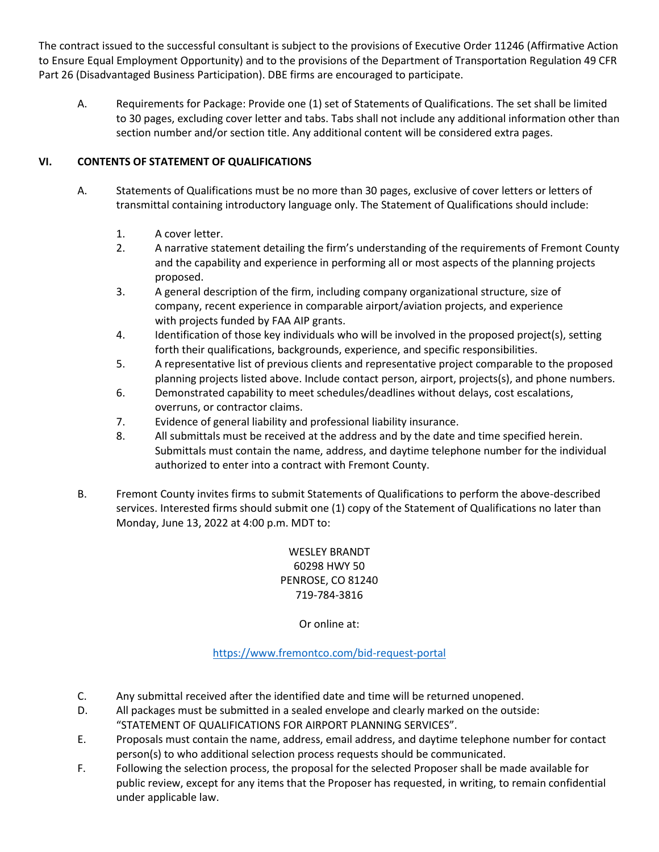The contract issued to the successful consultant is subject to the provisions of Executive Order 11246 (Affirmative Action to Ensure Equal Employment Opportunity) and to the provisions of the Department of Transportation Regulation 49 CFR Part 26 (Disadvantaged Business Participation). DBE firms are encouraged to participate.

A. Requirements for Package: Provide one (1) set of Statements of Qualifications. The set shall be limited to 30 pages, excluding cover letter and tabs. Tabs shall not include any additional information other than section number and/or section title. Any additional content will be considered extra pages.

# **VI. CONTENTS OF STATEMENT OF QUALIFICATIONS**

- A. Statements of Qualifications must be no more than 30 pages, exclusive of cover letters or letters of transmittal containing introductory language only. The Statement of Qualifications should include:
	- 1. A cover letter.
	- 2. A narrative statement detailing the firm's understanding of the requirements of Fremont County and the capability and experience in performing all or most aspects of the planning projects proposed.
	- 3. A general description of the firm, including company organizational structure, size of company, recent experience in comparable airport/aviation projects, and experience with projects funded by FAA AIP grants.
	- 4. Identification of those key individuals who will be involved in the proposed project(s), setting forth their qualifications, backgrounds, experience, and specific responsibilities.
	- 5. A representative list of previous clients and representative project comparable to the proposed planning projects listed above. Include contact person, airport, projects(s), and phone numbers.
	- 6. Demonstrated capability to meet schedules/deadlines without delays, cost escalations, overruns, or contractor claims.
	- 7. Evidence of general liability and professional liability insurance.
	- 8. All submittals must be received at the address and by the date and time specified herein. Submittals must contain the name, address, and daytime telephone number for the individual authorized to enter into a contract with Fremont County.
- B. Fremont County invites firms to submit Statements of Qualifications to perform the above-described services. Interested firms should submit one (1) copy of the Statement of Qualifications no later than Monday, June 13, 2022 at 4:00 p.m. MDT to:

WESLEY BRANDT 60298 HWY 50 PENROSE, CO 81240 719-784-3816

Or online at:

<https://www.fremontco.com/bid-request-portal>

- C. Any submittal received after the identified date and time will be returned unopened.
- D. All packages must be submitted in a sealed envelope and clearly marked on the outside: "STATEMENT OF QUALIFICATIONS FOR AIRPORT PLANNING SERVICES".
- E. Proposals must contain the name, address, email address, and daytime telephone number for contact person(s) to who additional selection process requests should be communicated.
- F. Following the selection process, the proposal for the selected Proposer shall be made available for public review, except for any items that the Proposer has requested, in writing, to remain confidential under applicable law.